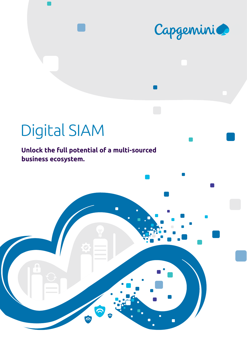

# Digital SIAM

**Unlock the full potential of a multi-sourced business ecosystem.**

 $\overline{\blacksquare}$ 

6

Ċ

0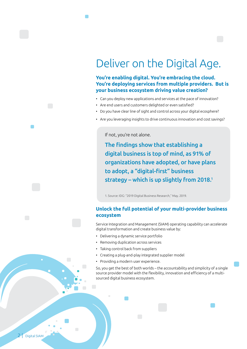## Deliver on the Digital Age.

**You're enabling digital. You're embracing the cloud. You're deploying services from multiple providers. But is your business ecosystem driving value creation?**

- Can you deploy new applications and services at the pace of innovation?
- Are end users and customers delighted or even satisfied?
- Do you have clear line of sight and control across your digital ecosphere?
- Are you leveraging insights to drive continuous innovation and cost savings?

If not, you're not alone.

The findings show that establishing a digital business is top of mind, as 91% of organizations have adopted, or have plans to adopt, a "digital-first" business strategy – which is up slightly from 2018.1

1. Source: IDG: "2019 Digital Business Research," May. 2019.

#### **Unlock the full potential of your multi-provider business ecosystem**

Service Integration and Management (SIAM) operating capability can accelerate digital transformation and create business value by:

- Delivering a dynamic service portfolio
- Removing duplication across services
- Taking control back from suppliers
- Creating a plug-and-play integrated supplier model
- Providing a modern user experience.

So, you get the best of both worlds – the accountability and simplicity of a single source provider model with the flexibility, innovation and efficiency of a multisourced digital business ecosystem.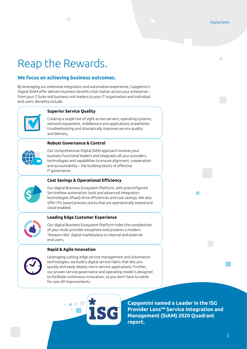## Reap the Rewards.

#### **We focus on achieving business outcomes.**

By leveraging our extensive integration and automation experience, Capgemini's Digital SIAM offer delivers business benefits that matter across your enterprise – from your C-Suite and business unit leaders to your IT organization and individual end users. Benefits include:



#### **Superior Service Quality**

Creating a single line of sight across servers, operating systems, network equipment, middleware and applications streamlines troubleshooting and dramatically improves service quality and delivery.

#### **Robust Governance & Control**



Our comprehensive Digital SIAM approach involves your business functional leaders and integrates all your providers, technologies and capabilities to ensure alignment, cooperation and accountability – the building blocks of effective IT governance.



#### **Cost Savings & Operational Efficiency**

Our digital Business Ecosystem Platform, with preconfigured ServiceNow automation tools and advanced integration technologies (iPaaS) drive efficiencies and cost savings. We also offer ITIL based process stacks that are operationally tested and cloud enabled.



#### **Leading Edge Customer Experience**

Our digital Business Ecosystem Platform hides the complexities of your multi-provider ecosphere and presents a modern "Amazon-like" digital marketplace to internal and external end users.

#### **Rapid & Agile Innovation**



Leveraging cutting-edge service management and automation technologies, we build a digital service fabric that lets you quickly and easily deploy micro-service applications. Further, our proven service governance and operating model is designed to facilitate continuous innovation, so you don't have to settle for one off improvements.

**[Capgemini named a Leader in the ISG](https://www.capgemini.com/capgemini-named-a-leader-in-the-isg-provider-lens-service-integration-and-management-siam-quadrant-report-for-both-germany-and-the-us/)  [Provider Lens™ Service Integration and](https://www.capgemini.com/capgemini-named-a-leader-in-the-isg-provider-lens-service-integration-and-management-siam-quadrant-report-for-both-germany-and-the-us/)  [Management \(SIAM\) 2020 Quadrant](https://www.capgemini.com/capgemini-named-a-leader-in-the-isg-provider-lens-service-integration-and-management-siam-quadrant-report-for-both-germany-and-the-us/)  [report.](https://www.capgemini.com/capgemini-named-a-leader-in-the-isg-provider-lens-service-integration-and-management-siam-quadrant-report-for-both-germany-and-the-us/)**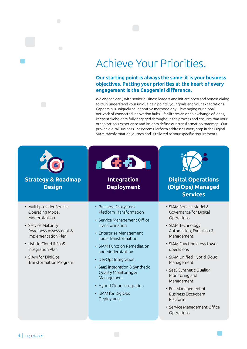## Achieve Your Priorities.

#### **Our starting point is always the same: it is your business objectives. Putting your priorities at the heart of every engagement is the Capgemini difference.**

We engage early with senior business leaders and initiate open and honest dialog to truly understand your unique pain points, your goals and your expectations. Capgemini's uniquely collaborative methodology – leveraging our global network of connected innovation hubs – facilitates an open exchange of ideas, keeps stakeholders fully engaged throughout the process and ensures that your organization's experience and insights define our transformation roadmap. Our proven digital Business Ecosystem Platform addresses every step in the Digital SIAM transformation journey and is tailored to your specific requirements.

| <b>Strategy &amp; Roadmap</b><br><b>Design</b>                                                                                                                                                                                   | <b>Integration</b><br><b>Deployment</b>                                                                                                                                                                                                                                                                                                                                          | <b>Digital Operations</b><br>(DigiOps) Managed<br><b>Services</b>                                                                                                                                                                                                                                                                                                                                |
|----------------------------------------------------------------------------------------------------------------------------------------------------------------------------------------------------------------------------------|----------------------------------------------------------------------------------------------------------------------------------------------------------------------------------------------------------------------------------------------------------------------------------------------------------------------------------------------------------------------------------|--------------------------------------------------------------------------------------------------------------------------------------------------------------------------------------------------------------------------------------------------------------------------------------------------------------------------------------------------------------------------------------------------|
| • Multi-provider Service<br>Operating Model<br>Modernization<br>• Service Maturity<br>Readiness Assessment &<br>Implementation Plan<br>• Hybrid Cloud & SaaS<br>Integration Plan<br>• SIAM for DigiOps<br>Transformation Program | • Business Ecosystem<br>Platform Transformation<br>• Service Management Office<br>Transformation<br>• Enterprise Management<br><b>Tools Transformation</b><br>• SIAM Function Remediation<br>and Modernization<br>• DevOps Integration<br>• SaaS integration & Synthetic<br>Quality Monitoring &<br>Management<br>• Hybrid Cloud Integration<br>• SIAM for DigiOps<br>Deployment | • SIAM Service Model &<br>Governance for Digital<br>Operations<br>• SIAM Technology<br>Automation, Evolution &<br>Management<br>• SIAM Function cross-tower<br>operations<br>• SIAM Unified Hybrid Cloud<br>Management<br>• SaaS Synthetic Quality<br>Monitoring and<br>Management<br>• Full Management of<br><b>Business Ecosystem</b><br>Platform<br>• Service Management Office<br>Operations |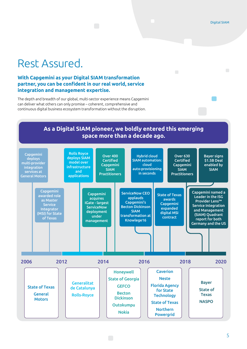## Rest Assured.

#### **With Capgemini as your Digital SIAM transformation partner, you can be confident in our real world, service integration and management expertise.**

The depth and breadth of our global, multi-sector experience means Capgemini can deliver what others can only promise – coherent, comprehensive and continuous digital business ecosystem transformation without the disruption.

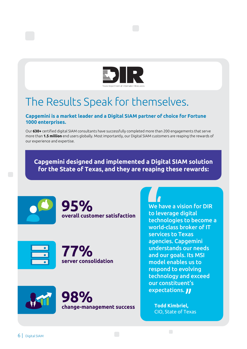

## The Results Speak for themselves.

#### **Capgemini is a market leader and a Digital SIAM partner of choice for Fortune 1000 enterprises.**

Our **630+** certified digital SIAM consultants have successfully completed more than 200 engagements that serve more than **1.5 million** end users globally. Most importantly, our Digital SIAM customers are reaping the rewards of our experience and expertise.

**Capgemini designed and implemented a Digital SIAM solution for the State of Texas, and they are reaping these rewards:**















We have a vision for DIR to leverage digital technologies to become a world-class broker of IT services to Texas agencies. Capgemini understands our needs and our goals. Its MSI model enables us to respond to evolving technology and exceed our constituent's expectations. **JJ** 

**Todd Kimbriel,** CIO, State of Texas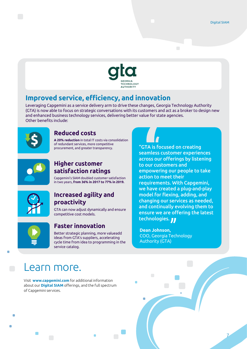7



### **Improved service, efficiency, and innovation**

Leveraging Capgemini as a service delivery arm to drive these changes, Georgia Technology Authority (GTA) is now able to focus on strategic conversations with its customers and act as a broker to design new and enhanced business technology services, delivering better value for state agencies. Other benefits include:



### **Reduced costs**

**A 20% reduction** in total IT costs via consolidation of redundant services, more competitive procurement, and greater transparency.



### **Higher customer satisfaction ratings**

Capgemini's SIAM doubled customer satisfaction in two years, **from 36% in 2017 to 77% in 2019.**



#### **Increased agility and proactivity**

GTA can now adjust dynamically and ensure competitive cost models.



### **Faster innovation**

Better strategic planning, more valueadd ideas from GTA's suppliers, accelerating cycle time from idea to programming in the service catalog.

"GTA is focused on creating seamless customer experiences across our offerings by listening to our customers and empowering our people to take action to meet their requirements. With Capgemini, we have created a plug-and-play model for flexing, adding, and changing our services as needed, and continually evolving them to ensure we are offering the latest technologies. **JJ** 

**Dean Johnson,** COO, Georgia Technology Authority (GTA)

### Learn more.

Visit **www.capgemini.com** for additional information about our **[Digital SIAM](https://www.capgemini.com/service/technology-operations/infrastructure-services/digital-service-integration-and-management-siam/)** offerings, and the full spectrum of Capgemini services.